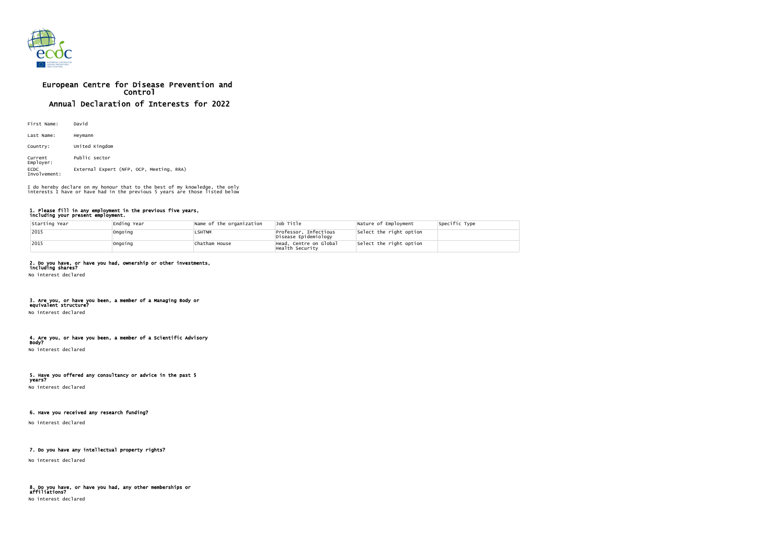

# European Centre for Disease Prevention and Control Annual Declaration of Interests for 2022

| First Name:                 | David                                    |  |  |  |  |
|-----------------------------|------------------------------------------|--|--|--|--|
| Last Name:                  | Heymann                                  |  |  |  |  |
| Country:                    | United Kingdom                           |  |  |  |  |
| Current<br>Employer:        | Public sector                            |  |  |  |  |
| <b>ECDC</b><br>Involvement: | External Expert (NFP, OCP, Meeting, RRA) |  |  |  |  |

#### 1. Please fill in any employment in the previous five years, including your present employment.

| Starting Year | Ending Year | Name of the organization | Job Title                                     | Nature of Employment    | Specific Type |
|---------------|-------------|--------------------------|-----------------------------------------------|-------------------------|---------------|
| 2015          | Ongoing     | <b>LSHTNM</b>            | Professor, Infectious<br>Disease Epidemiology | Select the right option |               |
| $ 2015$       | Ongoing     | Chatham House            | Head, Centre on Global<br>Health Security     | Select the right option |               |

### 2. Do you have, or have you had, ownership or other investments,

including shares? No interest declared

## 3. Are you, or have you been, a member of a Managing Body or

equivalent structure? No interest declared

#### 4. Are you, or have you been, a member of a Scientific Advisory Body?

No interest declared

#### 5. Have you offered any consultancy or advice in the past 5 years?

No interest declared

### 6. Have you received any research funding?

No interest declared

### 7. Do you have any intellectual property rights?

No interest declared

### 8. Do you have, or have you had, any other memberships or affiliations? No interest declared

I do hereby declare on my honour that to the best of my knowledge, the only interests I have or have had in the previous 5 years are those listed below